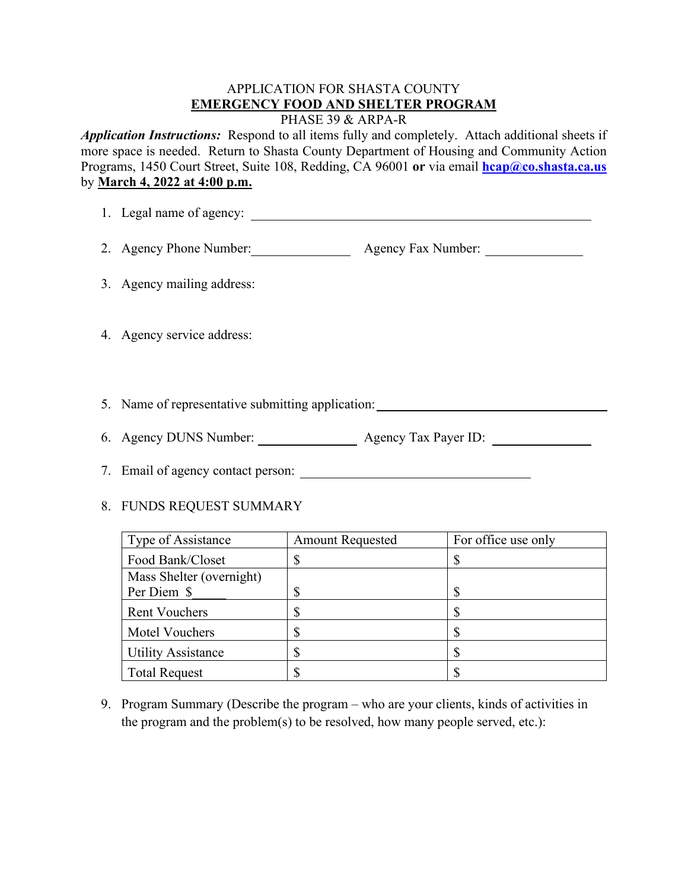## APPLICATION FOR SHASTA COUNTY **EMERGENCY FOOD AND SHELTER PROGRAM**

PHASE 39 & ARPA-R

*Application Instructions:* Respond to all items fully and completely. Attach additional sheets if more space is needed. Return to Shasta County Department of Housing and Community Action Programs, 1450 Court Street, Suite 108, Redding, CA 96001 **or** via email **[hcap@co.shasta.ca.us](mailto:hcap@co.shasta.ca.us)** by **March 4, 2022 at 4:00 p.m.** 

| 2. Agency Phone Number: <u>______________________</u> Agency Fax Number: ___________________ |  |  |
|----------------------------------------------------------------------------------------------|--|--|
| 3. Agency mailing address:                                                                   |  |  |
| 4. Agency service address:                                                                   |  |  |
| 5. Name of representative submitting application:                                            |  |  |
|                                                                                              |  |  |
|                                                                                              |  |  |
| 8. FUNDS REQUEST SUMMARY                                                                     |  |  |

| Type of Assistance        | <b>Amount Requested</b> | For office use only |
|---------------------------|-------------------------|---------------------|
| Food Bank/Closet          |                         |                     |
| Mass Shelter (overnight)  |                         |                     |
| Per Diem \$               |                         | ጥ                   |
| <b>Rent Vouchers</b>      |                         |                     |
| Motel Vouchers            |                         |                     |
| <b>Utility Assistance</b> | ٢D                      |                     |
| <b>Total Request</b>      |                         |                     |

9. Program Summary (Describe the program – who are your clients, kinds of activities in the program and the problem(s) to be resolved, how many people served, etc.):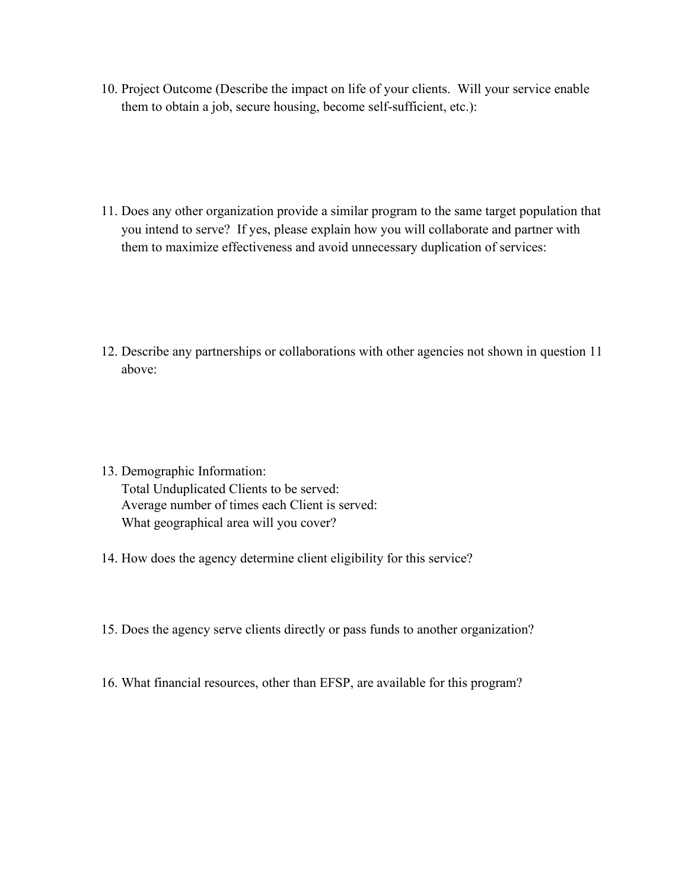- 10. Project Outcome (Describe the impact on life of your clients. Will your service enable them to obtain a job, secure housing, become self-sufficient, etc.):
- 11. Does any other organization provide a similar program to the same target population that you intend to serve? If yes, please explain how you will collaborate and partner with them to maximize effectiveness and avoid unnecessary duplication of services:

- 12. Describe any partnerships or collaborations with other agencies not shown in question 11 above:
- 13. Demographic Information: Total Unduplicated Clients to be served: Average number of times each Client is served: What geographical area will you cover?
- 14. How does the agency determine client eligibility for this service?
- 15. Does the agency serve clients directly or pass funds to another organization?
- 16. What financial resources, other than EFSP, are available for this program?